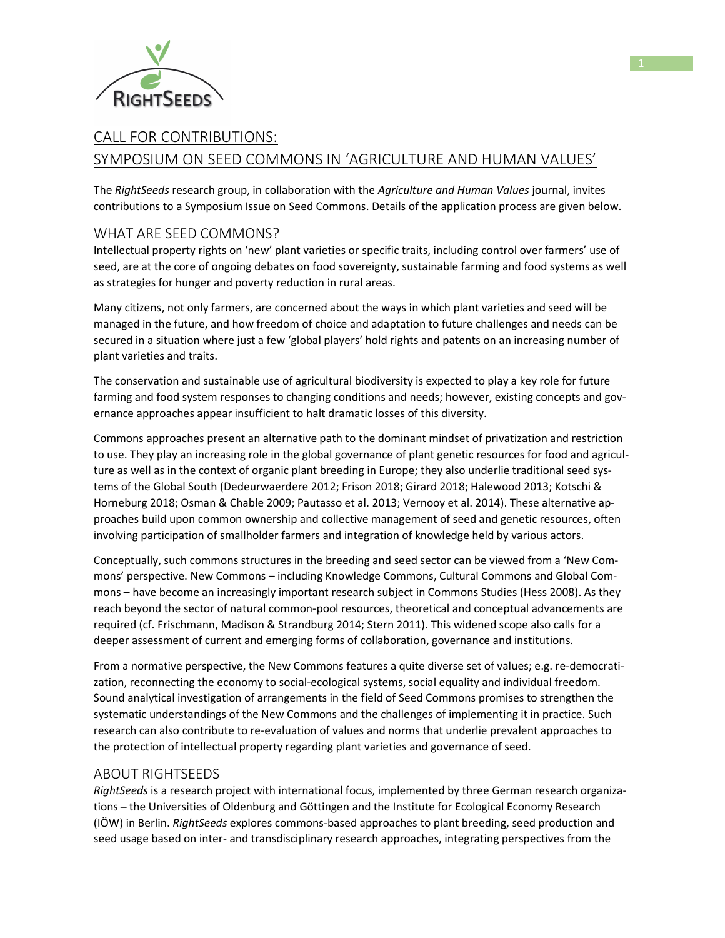

# CALL FOR CONTRIBUTIONS: SYMPOSIUM ON SEED COMMONS IN 'AGRICULTURE AND HUMAN VALUES'

The RightSeeds research group, in collaboration with the Agriculture and Human Values journal, invites contributions to a Symposium Issue on Seed Commons. Details of the application process are given below.

# WHAT ARE SEED COMMONS?

Intellectual property rights on 'new' plant varieties or specific traits, including control over farmers' use of seed, are at the core of ongoing debates on food sovereignty, sustainable farming and food systems as well as strategies for hunger and poverty reduction in rural areas.

Many citizens, not only farmers, are concerned about the ways in which plant varieties and seed will be managed in the future, and how freedom of choice and adaptation to future challenges and needs can be secured in a situation where just a few 'global players' hold rights and patents on an increasing number of plant varieties and traits.

The conservation and sustainable use of agricultural biodiversity is expected to play a key role for future farming and food system responses to changing conditions and needs; however, existing concepts and governance approaches appear insufficient to halt dramatic losses of this diversity.

Commons approaches present an alternative path to the dominant mindset of privatization and restriction to use. They play an increasing role in the global governance of plant genetic resources for food and agriculture as well as in the context of organic plant breeding in Europe; they also underlie traditional seed systems of the Global South (Dedeurwaerdere 2012; Frison 2018; Girard 2018; Halewood 2013; Kotschi & Horneburg 2018; Osman & Chable 2009; Pautasso et al. 2013; Vernooy et al. 2014). These alternative approaches build upon common ownership and collective management of seed and genetic resources, often involving participation of smallholder farmers and integration of knowledge held by various actors.

Conceptually, such commons structures in the breeding and seed sector can be viewed from a 'New Commons' perspective. New Commons – including Knowledge Commons, Cultural Commons and Global Commons – have become an increasingly important research subject in Commons Studies (Hess 2008). As they reach beyond the sector of natural common-pool resources, theoretical and conceptual advancements are required (cf. Frischmann, Madison & Strandburg 2014; Stern 2011). This widened scope also calls for a deeper assessment of current and emerging forms of collaboration, governance and institutions.

From a normative perspective, the New Commons features a quite diverse set of values; e.g. re-democratization, reconnecting the economy to social-ecological systems, social equality and individual freedom. Sound analytical investigation of arrangements in the field of Seed Commons promises to strengthen the systematic understandings of the New Commons and the challenges of implementing it in practice. Such research can also contribute to re-evaluation of values and norms that underlie prevalent approaches to the protection of intellectual property regarding plant varieties and governance of seed.

### ABOUT RIGHTSEEDS

RightSeeds is a research project with international focus, implemented by three German research organizations ̶ the Universities of Oldenburg and Göttingen and the Institute for Ecological Economy Research (IÖW) in Berlin. RightSeeds explores commons-based approaches to plant breeding, seed production and seed usage based on inter- and transdisciplinary research approaches, integrating perspectives from the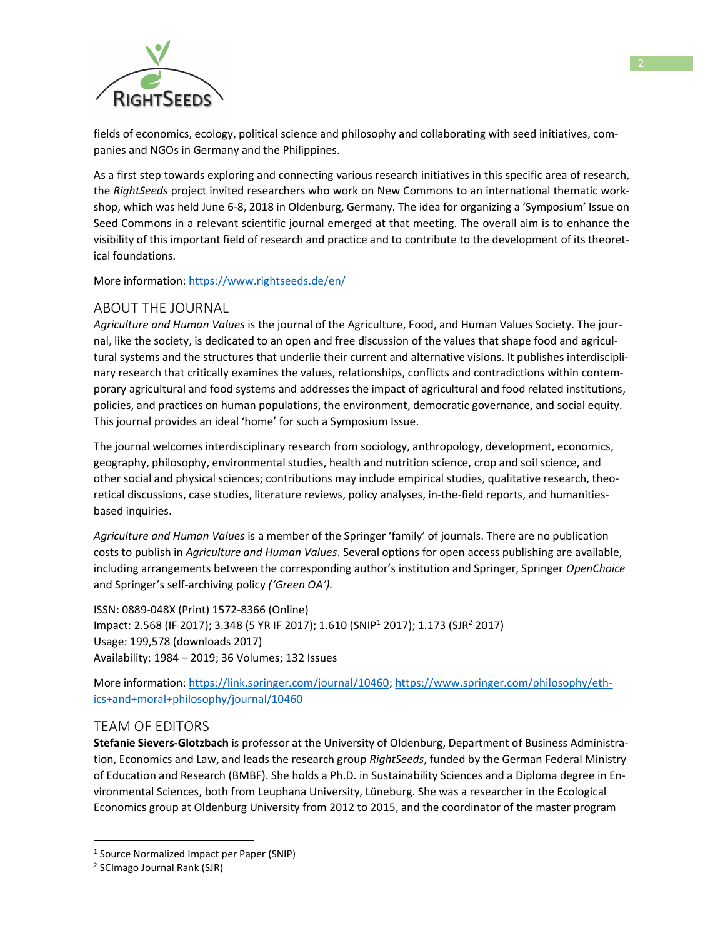

fields of economics, ecology, political science and philosophy and collaborating with seed initiatives, companies and NGOs in Germany and the Philippines.

As a first step towards exploring and connecting various research initiatives in this specific area of research, the RightSeeds project invited researchers who work on New Commons to an international thematic workshop, which was held June 6-8, 2018 in Oldenburg, Germany. The idea for organizing a 'Symposium' Issue on Seed Commons in a relevant scientific journal emerged at that meeting. The overall aim is to enhance the visibility of this important field of research and practice and to contribute to the development of its theoretical foundations.

More information: https://www.rightseeds.de/en/

### ABOUT THE JOURNAL

Agriculture and Human Values is the journal of the Agriculture, Food, and Human Values Society. The journal, like the society, is dedicated to an open and free discussion of the values that shape food and agricultural systems and the structures that underlie their current and alternative visions. It publishes interdisciplinary research that critically examines the values, relationships, conflicts and contradictions within contemporary agricultural and food systems and addresses the impact of agricultural and food related institutions, policies, and practices on human populations, the environment, democratic governance, and social equity. This journal provides an ideal 'home' for such a Symposium Issue.

The journal welcomes interdisciplinary research from sociology, anthropology, development, economics, geography, philosophy, environmental studies, health and nutrition science, crop and soil science, and other social and physical sciences; contributions may include empirical studies, qualitative research, theoretical discussions, case studies, literature reviews, policy analyses, in-the-field reports, and humanitiesbased inquiries.

Agriculture and Human Values is a member of the Springer 'family' of journals. There are no publication costs to publish in Agriculture and Human Values. Several options for open access publishing are available, including arrangements between the corresponding author's institution and Springer, Springer OpenChoice and Springer's self-archiving policy ('Green OA').

ISSN: 0889-048X (Print) 1572-8366 (Online) Impact: 2.568 (IF 2017); 3.348 (5 YR IF 2017); 1.610 (SNIP<sup>1</sup> 2017); 1.173 (SJR<sup>2</sup> 2017) Usage: 199,578 (downloads 2017) Availability: 1984 – 2019; 36 Volumes; 132 Issues

More information: https://link.springer.com/journal/10460; https://www.springer.com/philosophy/ethics+and+moral+philosophy/journal/10460

# TEAM OF EDITORS

Stefanie Sievers-Glotzbach is professor at the University of Oldenburg, Department of Business Administration, Economics and Law, and leads the research group RightSeeds, funded by the German Federal Ministry of Education and Research (BMBF). She holds a Ph.D. in Sustainability Sciences and a Diploma degree in Environmental Sciences, both from Leuphana University, Lüneburg. She was a researcher in the Ecological Economics group at Oldenburg University from 2012 to 2015, and the coordinator of the master program

 $\overline{a}$ 

<sup>&</sup>lt;sup>1</sup> Source Normalized Impact per Paper (SNIP)

<sup>&</sup>lt;sup>2</sup> SCImago Journal Rank (SJR)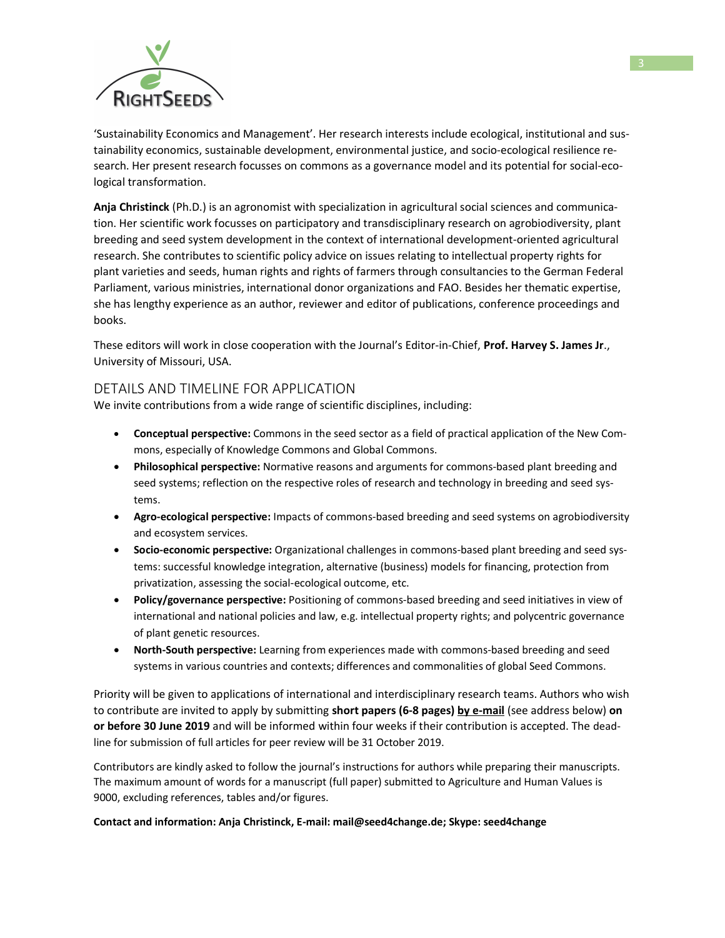

'Sustainability Economics and Management'. Her research interests include ecological, institutional and sustainability economics, sustainable development, environmental justice, and socio-ecological resilience research. Her present research focusses on commons as a governance model and its potential for social-ecological transformation.

Anja Christinck (Ph.D.) is an agronomist with specialization in agricultural social sciences and communication. Her scientific work focusses on participatory and transdisciplinary research on agrobiodiversity, plant breeding and seed system development in the context of international development-oriented agricultural research. She contributes to scientific policy advice on issues relating to intellectual property rights for plant varieties and seeds, human rights and rights of farmers through consultancies to the German Federal Parliament, various ministries, international donor organizations and FAO. Besides her thematic expertise, she has lengthy experience as an author, reviewer and editor of publications, conference proceedings and books.

These editors will work in close cooperation with the Journal's Editor-in-Chief, Prof. Harvey S. James Jr., University of Missouri, USA.

# DETAILS AND TIMELINE FOR APPLICATION

We invite contributions from a wide range of scientific disciplines, including:

- Conceptual perspective: Commons in the seed sector as a field of practical application of the New Commons, especially of Knowledge Commons and Global Commons.
- Philosophical perspective: Normative reasons and arguments for commons-based plant breeding and seed systems; reflection on the respective roles of research and technology in breeding and seed systems.
- Agro-ecological perspective: Impacts of commons-based breeding and seed systems on agrobiodiversity and ecosystem services.
- Socio-economic perspective: Organizational challenges in commons-based plant breeding and seed systems: successful knowledge integration, alternative (business) models for financing, protection from privatization, assessing the social-ecological outcome, etc.
- Policy/governance perspective: Positioning of commons-based breeding and seed initiatives in view of international and national policies and law, e.g. intellectual property rights; and polycentric governance of plant genetic resources.
- North-South perspective: Learning from experiences made with commons-based breeding and seed systems in various countries and contexts; differences and commonalities of global Seed Commons.

Priority will be given to applications of international and interdisciplinary research teams. Authors who wish to contribute are invited to apply by submitting short papers (6-8 pages) by e-mail (see address below) on or before 30 June 2019 and will be informed within four weeks if their contribution is accepted. The deadline for submission of full articles for peer review will be 31 October 2019.

Contributors are kindly asked to follow the journal's instructions for authors while preparing their manuscripts. The maximum amount of words for a manuscript (full paper) submitted to Agriculture and Human Values is 9000, excluding references, tables and/or figures.

#### Contact and information: Anja Christinck, E-mail: mail@seed4change.de; Skype: seed4change